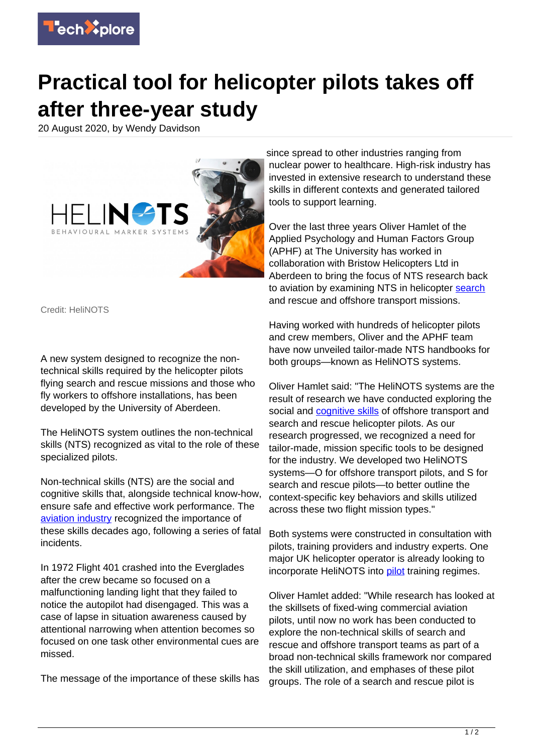

## **Practical tool for helicopter pilots takes off after three-year study**

20 August 2020, by Wendy Davidson



Credit: HeliNOTS

A new system designed to recognize the nontechnical skills required by the helicopter pilots flying search and rescue missions and those who fly workers to offshore installations, has been developed by the University of Aberdeen.

The HeliNOTS system outlines the non-technical skills (NTS) recognized as vital to the role of these specialized pilots.

Non-technical skills (NTS) are the social and cognitive skills that, alongside technical know-how, ensure safe and effective work performance. The [aviation industry](https://techxplore.com/tags/aviation+industry/) recognized the importance of these skills decades ago, following a series of fatal incidents.

In 1972 Flight 401 crashed into the Everglades after the crew became so focused on a malfunctioning landing light that they failed to notice the autopilot had disengaged. This was a case of lapse in situation awareness caused by attentional narrowing when attention becomes so focused on one task other environmental cues are missed.

The message of the importance of these skills has

since spread to other industries ranging from nuclear power to healthcare. High-risk industry has invested in extensive research to understand these skills in different contexts and generated tailored tools to support learning.

Over the last three years Oliver Hamlet of the Applied Psychology and Human Factors Group (APHF) at The University has worked in collaboration with Bristow Helicopters Ltd in Aberdeen to bring the focus of NTS research back to aviation by examining NTS in helicopter [search](https://techxplore.com/tags/search/) and rescue and offshore transport missions.

Having worked with hundreds of helicopter pilots and crew members, Oliver and the APHF team have now unveiled tailor-made NTS handbooks for both groups—known as HeliNOTS systems.

Oliver Hamlet said: "The HeliNOTS systems are the result of research we have conducted exploring the social and [cognitive skills](https://techxplore.com/tags/cognitive+skills/) of offshore transport and search and rescue helicopter pilots. As our research progressed, we recognized a need for tailor-made, mission specific tools to be designed for the industry. We developed two HeliNOTS systems—O for offshore transport pilots, and S for search and rescue pilots—to better outline the context-specific key behaviors and skills utilized across these two flight mission types."

Both systems were constructed in consultation with pilots, training providers and industry experts. One major UK helicopter operator is already looking to incorporate HeliNOTS into [pilot](https://techxplore.com/tags/pilot/) training regimes.

Oliver Hamlet added: "While research has looked at the skillsets of fixed-wing commercial aviation pilots, until now no work has been conducted to explore the non-technical skills of search and rescue and offshore transport teams as part of a broad non-technical skills framework nor compared the skill utilization, and emphases of these pilot groups. The role of a search and rescue pilot is